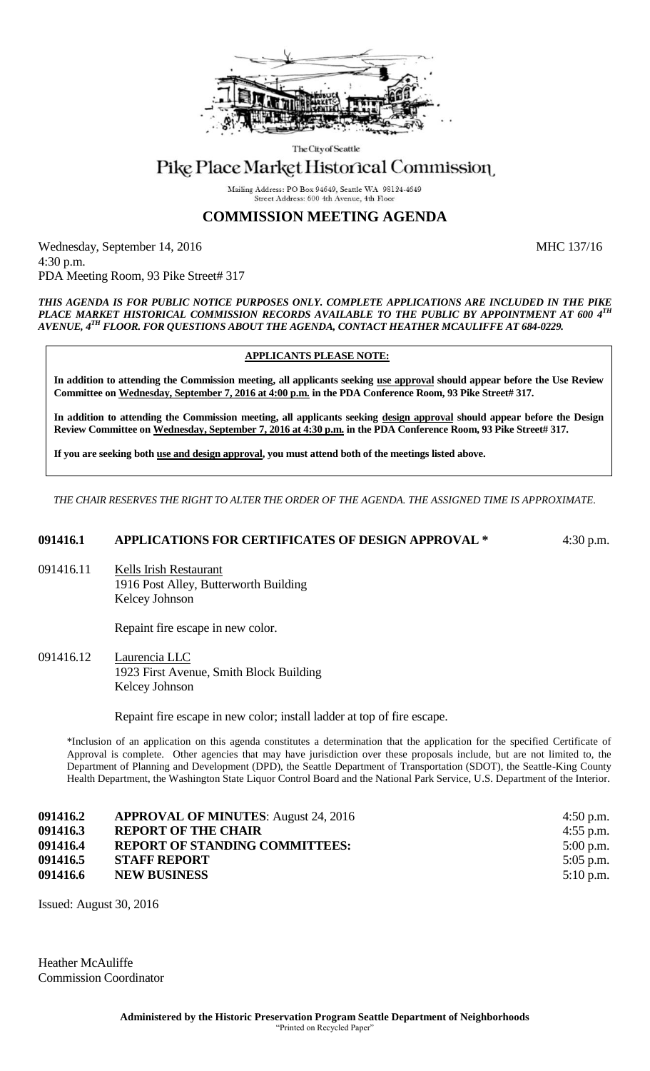

The City of Seattle

# Pike Place Market Historical Commission

Mailing Address: PO Box 94649, Seattle WA 98124-4649 Street Address: 600 4th Avenue, 4th Floor

## **COMMISSION MEETING AGENDA**

Wednesday, September 14, 2016 MHC 137/16 4:30 p.m. PDA Meeting Room, 93 Pike Street# 317

*THIS AGENDA IS FOR PUBLIC NOTICE PURPOSES ONLY. COMPLETE APPLICATIONS ARE INCLUDED IN THE PIKE PLACE MARKET HISTORICAL COMMISSION RECORDS AVAILABLE TO THE PUBLIC BY APPOINTMENT AT 600 4TH AVENUE, 4TH FLOOR. FOR QUESTIONS ABOUT THE AGENDA, CONTACT HEATHER MCAULIFFE AT 684-0229.*

#### **APPLICANTS PLEASE NOTE:**

**In addition to attending the Commission meeting, all applicants seeking use approval should appear before the Use Review Committee on Wednesday, September 7, 2016 at 4:00 p.m. in the PDA Conference Room, 93 Pike Street# 317.**

**In addition to attending the Commission meeting, all applicants seeking design approval should appear before the Design Review Committee on Wednesday, September 7, 2016 at 4:30 p.m. in the PDA Conference Room, 93 Pike Street# 317.** 

**If you are seeking both use and design approval, you must attend both of the meetings listed above.**

*THE CHAIR RESERVES THE RIGHT TO ALTER THE ORDER OF THE AGENDA. THE ASSIGNED TIME IS APPROXIMATE.*

### **091416.1 APPLICATIONS FOR CERTIFICATES OF DESIGN APPROVAL \*** 4:30 p.m.

091416.11 Kells Irish Restaurant 1916 Post Alley, Butterworth Building Kelcey Johnson

Repaint fire escape in new color.

091416.12 Laurencia LLC 1923 First Avenue, Smith Block Building Kelcey Johnson

Repaint fire escape in new color; install ladder at top of fire escape.

\*Inclusion of an application on this agenda constitutes a determination that the application for the specified Certificate of Approval is complete. Other agencies that may have jurisdiction over these proposals include, but are not limited to, the Department of Planning and Development (DPD), the Seattle Department of Transportation (SDOT), the Seattle-King County Health Department, the Washington State Liquor Control Board and the National Park Service, U.S. Department of the Interior.

| 091416.2 | <b>APPROVAL OF MINUTES:</b> August 24, 2016 | 4:50 p.m.   |
|----------|---------------------------------------------|-------------|
| 091416.3 | <b>REPORT OF THE CHAIR</b>                  | 4:55 p.m.   |
| 091416.4 | <b>REPORT OF STANDING COMMITTEES:</b>       | $5:00$ p.m. |
| 091416.5 | <b>STAFF REPORT</b>                         | $5:05$ p.m. |
| 091416.6 | <b>NEW BUSINESS</b>                         | $5:10$ p.m. |
|          |                                             |             |

Issued: August 30, 2016

Heather McAuliffe Commission Coordinator